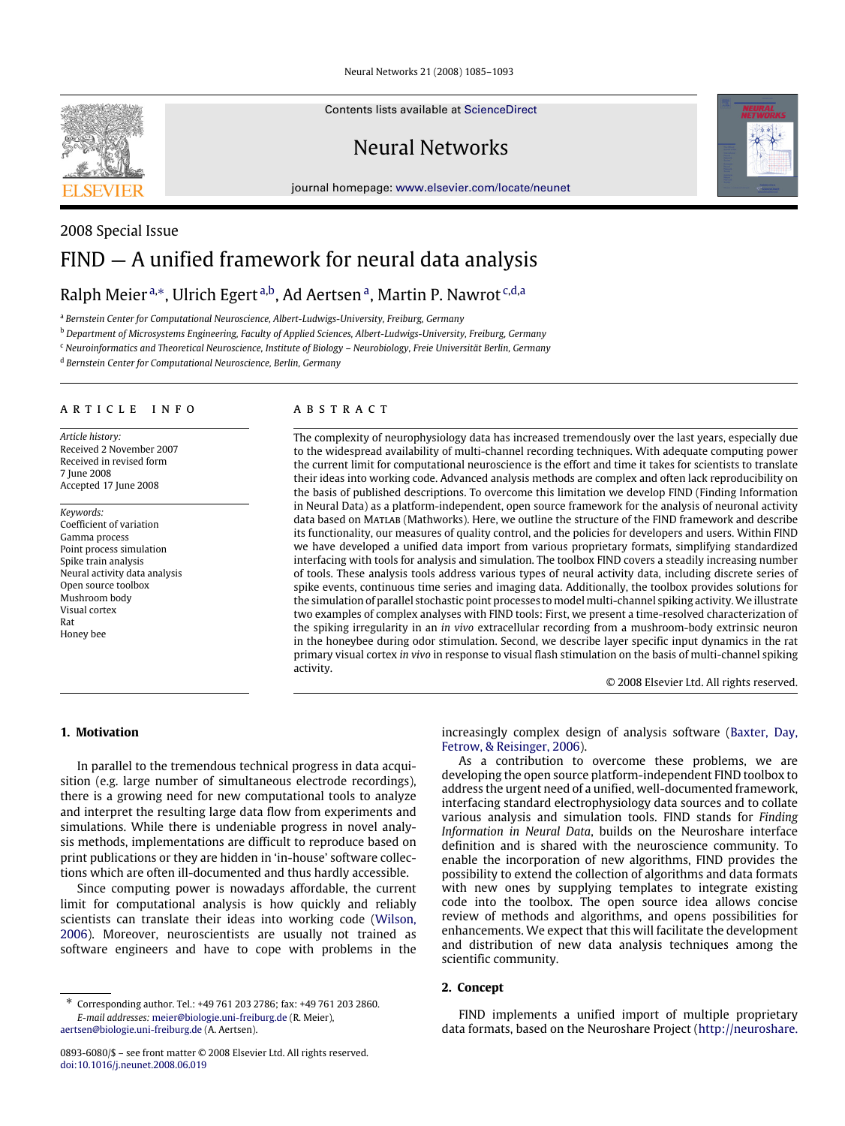Neural Networks 21 (2008) 1085–1093



Contents lists available at [ScienceDirect](http://www.elsevier.com/locate/neunet)

Neural Networks

journal homepage: [www.elsevier.com/locate/neunet](http://www.elsevier.com/locate/neunet)



# 2008 Special Issue FIND — A unified framework for neural data analysis

## Ralph Meier<sup>a,</sup>\*, Ulrich Egert<sup>a,b</sup>, Ad Aertsen<sup>a</sup>, Martin P. Nawrot<sup>c,d,a</sup>

<sup>a</sup> *Bernstein Center for Computational Neuroscience, Albert-Ludwigs-University, Freiburg, Germany*

<sup>b</sup> *Department of Microsystems Engineering, Faculty of Applied Sciences, Albert-Ludwigs-University, Freiburg, Germany*

<sup>c</sup> *Neuroinformatics and Theoretical Neuroscience, Institute of Biology – Neurobiology, Freie Universität Berlin, Germany*

<sup>d</sup> *Bernstein Center for Computational Neuroscience, Berlin, Germany*

#### ARTICLE INFO

*Article history:* Received 2 November 2007 Received in revised form 7 June 2008 Accepted 17 June 2008

*Keywords:* Coefficient of variation Gamma process Point process simulation Spike train analysis Neural activity data analysis Open source toolbox Mushroom body Visual cortex Rat Honey bee

### A B S T R A C T

The complexity of neurophysiology data has increased tremendously over the last years, especially due to the widespread availability of multi-channel recording techniques. With adequate computing power the current limit for computational neuroscience is the effort and time it takes for scientists to translate their ideas into working code. Advanced analysis methods are complex and often lack reproducibility on the basis of published descriptions. To overcome this limitation we develop FIND (Finding Information in Neural Data) as a platform-independent, open source framework for the analysis of neuronal activity data based on Matlab (Mathworks). Here, we outline the structure of the FIND framework and describe its functionality, our measures of quality control, and the policies for developers and users. Within FIND we have developed a unified data import from various proprietary formats, simplifying standardized interfacing with tools for analysis and simulation. The toolbox FIND covers a steadily increasing number of tools. These analysis tools address various types of neural activity data, including discrete series of spike events, continuous time series and imaging data. Additionally, the toolbox provides solutions for the simulation of parallel stochastic point processes to model multi-channel spiking activity.We illustrate two examples of complex analyses with FIND tools: First, we present a time-resolved characterization of the spiking irregularity in an *in vivo* extracellular recording from a mushroom-body extrinsic neuron in the honeybee during odor stimulation. Second, we describe layer specific input dynamics in the rat primary visual cortex *in vivo* in response to visual flash stimulation on the basis of multi-channel spiking activity.

© 2008 Elsevier Ltd. All rights reserved.

## **1. Motivation**

In parallel to the tremendous technical progress in data acquisition (e.g. large number of simultaneous electrode recordings), there is a growing need for new computational tools to analyze and interpret the resulting large data flow from experiments and simulations. While there is undeniable progress in novel analysis methods, implementations are difficult to reproduce based on print publications or they are hidden in 'in-house' software collections which are often ill-documented and thus hardly accessible.

Since computing power is nowadays affordable, the current limit for computational analysis is how quickly and reliably scientists can translate their ideas into working code (Wilson, 2006). Moreover, neuroscientists are usually not trained as software engineers and have to cope with problems in the increasingly complex design of analysis software (Baxter, Day, Fetrow, & Reisinger, 2006).

As a contribution to overcome these problems, we are developing the open source platform-independent FIND toolbox to address the urgent need of a unified, well-documented framework, interfacing standard electrophysiology data sources and to collate various analysis and simulation tools. FIND stands for *Finding Information in Neural Data*, builds on the Neuroshare interface definition and is shared with the neuroscience community. To enable the incorporation of new algorithms, FIND provides the possibility to extend the collection of algorithms and data formats with new ones by supplying templates to integrate existing code into the toolbox. The open source idea allows concise review of methods and algorithms, and opens possibilities for enhancements. We expect that this will facilitate the development and distribution of new data analysis techniques among the scientific community.

## **2. Concept**

FIND implements a unified import of multiple proprietary data formats, based on the Neuroshare Project [\(http://neuroshare.](http://neuroshare.sourceforge.net)

<sup>∗</sup> Corresponding author. Tel.: +49 761 203 2786; fax: +49 761 203 2860. *E-mail addresses:* [meier@biologie.uni-freiburg.de](mailto:meier@biologie.uni-freiburg.de) (R. Meier), [aertsen@biologie.uni-freiburg.de](mailto:aertsen@biologie.uni-freiburg.de) (A. Aertsen).

<sup>0893-6080/\$ –</sup> see front matter © 2008 Elsevier Ltd. All rights reserved. <doi:10.1016/j.neunet.2008.06.019>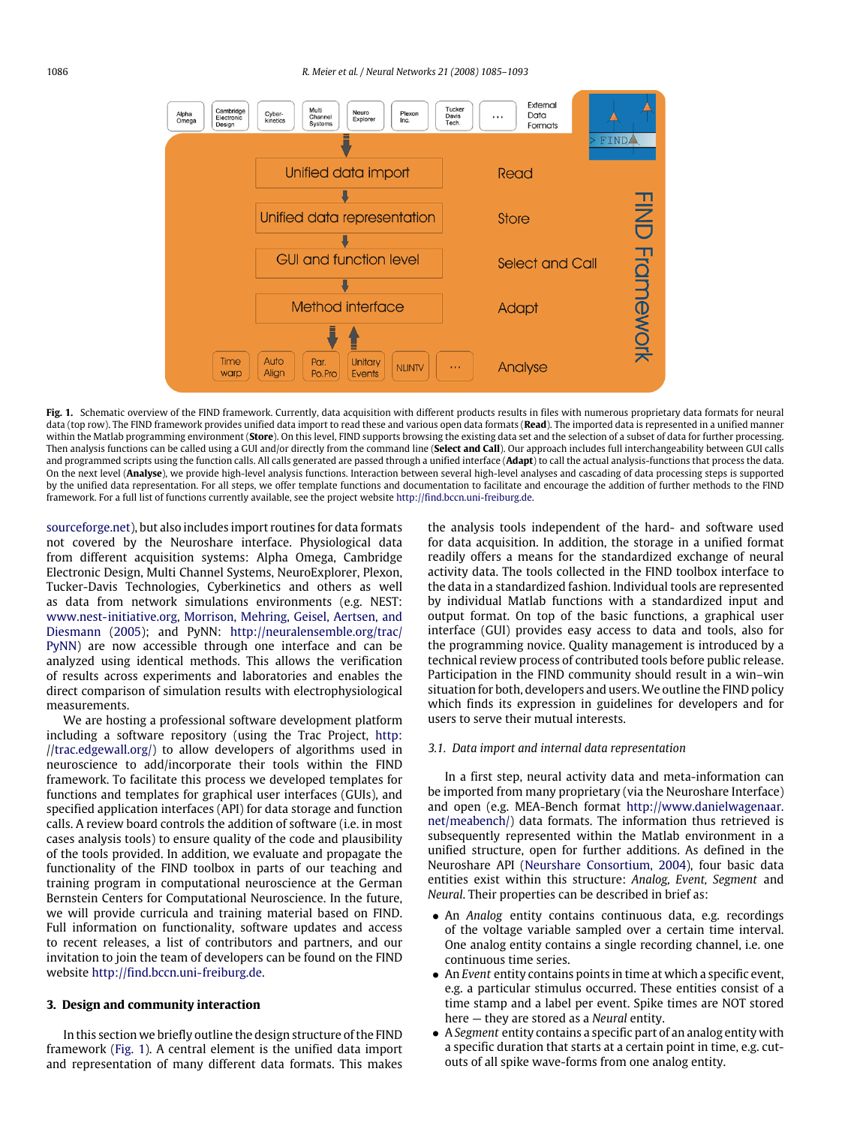

Fig. 1. Schematic overview of the FIND framework. Currently, data acquisition with different products results in files with numerous proprietary data formats for neural data (top row). The FIND framework provides unified data import to read these and various open data formats (**Read**). The imported data is represented in a unified manner within the Matlab programming environment (**Store**). On this level, FIND supports browsing the existing data set and the selection of a subset of data for further processing. Then analysis functions can be called using a GUI and/or directly from the command line (**Select and Call**). Our approach includes full interchangeability between GUI calls and programmed scripts using the function calls. All calls generated are passed through a unified interface (**Adapt**) to call the actual analysis-functions that process the data. On the next level (**Analyse**), we provide high-level analysis functions. Interaction between several high-level analyses and cascading of data processing steps is supported by the unified data representation. For all steps, we offer template functions and documentation to facilitate and encourage the addition of further methods to the FIND framework. For a full list of functions currently available, see the project website [http://find.bccn.uni-freiburg.de.](http://find.bccn.uni-freiburg.de)

[sourceforge.net\)](http://neuroshare.sourceforge.net), but also includes import routines for data formats not covered by the Neuroshare interface. Physiological data from different acquisition systems: Alpha Omega, Cambridge Electronic Design, Multi Channel Systems, NeuroExplorer, Plexon, Tucker-Davis Technologies, Cyberkinetics and others as well as data from network simulations environments (e.g. NEST: [www.nest-initiative.org,](www.nest-initiative.org) Morrison, Mehring, Geisel, Aertsen, and Diesmann (2005); and PyNN: [http://neuralensemble.org/trac/](http://neuralensemble.org/trac/PyNN) [PyNN\)](http://neuralensemble.org/trac/PyNN) are now accessible through one interface and can be analyzed using identical methods. This allows the verification of results across experiments and laboratories and enables the direct comparison of simulation results with electrophysiological measurements.

We are hosting a professional software development platform [i](http://trac.edgewall.org/)ncluding a software repository (using the Trac Project, [http:](http://trac.edgewall.org/) [//trac.edgewall.org/\)](http://trac.edgewall.org/) to allow developers of algorithms used in neuroscience to add/incorporate their tools within the FIND framework. To facilitate this process we developed templates for functions and templates for graphical user interfaces (GUIs), and specified application interfaces (API) for data storage and function calls. A review board controls the addition of software (i.e. in most cases analysis tools) to ensure quality of the code and plausibility of the tools provided. In addition, we evaluate and propagate the functionality of the FIND toolbox in parts of our teaching and training program in computational neuroscience at the German Bernstein Centers for Computational Neuroscience. In the future, we will provide curricula and training material based on FIND. Full information on functionality, software updates and access to recent releases, a list of contributors and partners, and our invitation to join the team of developers can be found on the FIND website [http://find.bccn.uni-freiburg.de.](http://find.bccn.uni-freiburg.de)

## **3. Design and community interaction**

In this section we briefly outline the design structure of the FIND framework (Fig. 1). A central element is the unified data import and representation of many different data formats. This makes the analysis tools independent of the hard- and software used for data acquisition. In addition, the storage in a unified format readily offers a means for the standardized exchange of neural activity data. The tools collected in the FIND toolbox interface to the data in a standardized fashion. Individual tools are represented by individual Matlab functions with a standardized input and output format. On top of the basic functions, a graphical user interface (GUI) provides easy access to data and tools, also for the programming novice. Quality management is introduced by a technical review process of contributed tools before public release. Participation in the FIND community should result in a win–win situation for both, developers and users.We outline the FIND policy which finds its expression in guidelines for developers and for users to serve their mutual interests.

#### *3.1. Data import and internal data representation*

In a first step, neural activity data and meta-information can be imported from many proprietary (via the Neuroshare Interface) and open (e.g. MEA-Bench format [http://www.danielwagenaar.](http://www.danielwagenaar.net/meabench/) [net/meabench/\)](http://www.danielwagenaar.net/meabench/) data formats. The information thus retrieved is subsequently represented within the Matlab environment in a unified structure, open for further additions. As defined in the Neuroshare API (Neurshare Consortium, 2004), four basic data entities exist within this structure: *Analog, Event, Segment* and *Neural*. Their properties can be described in brief as:

- An *Analog* entity contains continuous data, e.g. recordings of the voltage variable sampled over a certain time interval. One analog entity contains a single recording channel, i.e. one continuous time series.
- An *Event* entity contains points in time at which a specific event, e.g. a particular stimulus occurred. These entities consist of a time stamp and a label per event. Spike times are NOT stored here — they are stored as a *Neural* entity.
- A *Segment* entity contains a specific part of an analog entity with a specific duration that starts at a certain point in time, e.g. cutouts of all spike wave-forms from one analog entity.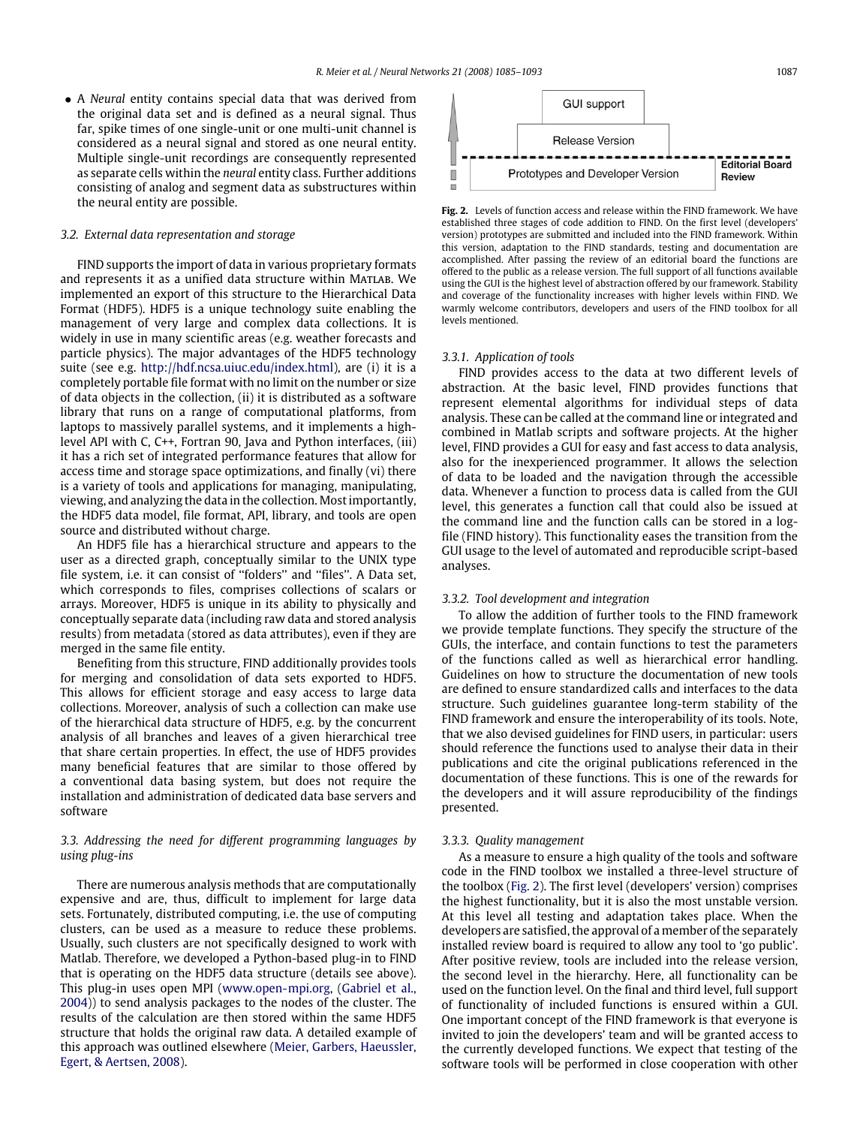• A *Neural* entity contains special data that was derived from the original data set and is defined as a neural signal. Thus far, spike times of one single-unit or one multi-unit channel is considered as a neural signal and stored as one neural entity. Multiple single-unit recordings are consequently represented as separate cells within the *neural* entity class. Further additions consisting of analog and segment data as substructures within the neural entity are possible.

#### *3.2. External data representation and storage*

FIND supports the import of data in various proprietary formats and represents it as a unified data structure within MATLAB. We implemented an export of this structure to the Hierarchical Data Format (HDF5). HDF5 is a unique technology suite enabling the management of very large and complex data collections. It is widely in use in many scientific areas (e.g. weather forecasts and particle physics). The major advantages of the HDF5 technology suite (see e.g. [http://hdf.ncsa.uiuc.edu/index.html\)](http://hdf.ncsa.uiuc.edu/index.html), are (i) it is a completely portable file format with no limit on the number or size of data objects in the collection, (ii) it is distributed as a software library that runs on a range of computational platforms, from laptops to massively parallel systems, and it implements a highlevel API with C, C++, Fortran 90, Java and Python interfaces, (iii) it has a rich set of integrated performance features that allow for access time and storage space optimizations, and finally (vi) there is a variety of tools and applications for managing, manipulating, viewing, and analyzing the data in the collection. Most importantly, the HDF5 data model, file format, API, library, and tools are open source and distributed without charge.

An HDF5 file has a hierarchical structure and appears to the user as a directed graph, conceptually similar to the UNIX type file system, i.e. it can consist of ''folders'' and ''files''. A Data set, which corresponds to files, comprises collections of scalars or arrays. Moreover, HDF5 is unique in its ability to physically and conceptually separate data (including raw data and stored analysis results) from metadata (stored as data attributes), even if they are merged in the same file entity.

Benefiting from this structure, FIND additionally provides tools for merging and consolidation of data sets exported to HDF5. This allows for efficient storage and easy access to large data collections. Moreover, analysis of such a collection can make use of the hierarchical data structure of HDF5, e.g. by the concurrent analysis of all branches and leaves of a given hierarchical tree that share certain properties. In effect, the use of HDF5 provides many beneficial features that are similar to those offered by a conventional data basing system, but does not require the installation and administration of dedicated data base servers and software

## *3.3. Addressing the need for different programming languages by using plug-ins*

There are numerous analysis methods that are computationally expensive and are, thus, difficult to implement for large data sets. Fortunately, distributed computing, i.e. the use of computing clusters, can be used as a measure to reduce these problems. Usually, such clusters are not specifically designed to work with Matlab. Therefore, we developed a Python-based plug-in to FIND that is operating on the HDF5 data structure (details see above). This plug-in uses open MPI [\(www.open-mpi.org,](www.open-mpi.org) (Gabriel et al., 2004)) to send analysis packages to the nodes of the cluster. The results of the calculation are then stored within the same HDF5 structure that holds the original raw data. A detailed example of this approach was outlined elsewhere (Meier, Garbers, Haeussler, Egert, & Aertsen, 2008).



**Fig. 2.** Levels of function access and release within the FIND framework. We have established three stages of code addition to FIND. On the first level (developers' version) prototypes are submitted and included into the FIND framework. Within this version, adaptation to the FIND standards, testing and documentation are accomplished. After passing the review of an editorial board the functions are offered to the public as a release version. The full support of all functions available using the GUI is the highest level of abstraction offered by our framework. Stability and coverage of the functionality increases with higher levels within FIND. We warmly welcome contributors, developers and users of the FIND toolbox for all levels mentioned.

#### *3.3.1. Application of tools*

FIND provides access to the data at two different levels of abstraction. At the basic level, FIND provides functions that represent elemental algorithms for individual steps of data analysis. These can be called at the command line or integrated and combined in Matlab scripts and software projects. At the higher level, FIND provides a GUI for easy and fast access to data analysis, also for the inexperienced programmer. It allows the selection of data to be loaded and the navigation through the accessible data. Whenever a function to process data is called from the GUI level, this generates a function call that could also be issued at the command line and the function calls can be stored in a logfile (FIND history). This functionality eases the transition from the GUI usage to the level of automated and reproducible script-based analyses.

#### *3.3.2. Tool development and integration*

To allow the addition of further tools to the FIND framework we provide template functions. They specify the structure of the GUIs, the interface, and contain functions to test the parameters of the functions called as well as hierarchical error handling. Guidelines on how to structure the documentation of new tools are defined to ensure standardized calls and interfaces to the data structure. Such guidelines guarantee long-term stability of the FIND framework and ensure the interoperability of its tools. Note, that we also devised guidelines for FIND users, in particular: users should reference the functions used to analyse their data in their publications and cite the original publications referenced in the documentation of these functions. This is one of the rewards for the developers and it will assure reproducibility of the findings presented.

#### *3.3.3. Quality management*

As a measure to ensure a high quality of the tools and software code in the FIND toolbox we installed a three-level structure of the toolbox (Fig. 2). The first level (developers' version) comprises the highest functionality, but it is also the most unstable version. At this level all testing and adaptation takes place. When the developers are satisfied, the approval of a member of the separately installed review board is required to allow any tool to 'go public'. After positive review, tools are included into the release version, the second level in the hierarchy. Here, all functionality can be used on the function level. On the final and third level, full support of functionality of included functions is ensured within a GUI. One important concept of the FIND framework is that everyone is invited to join the developers' team and will be granted access to the currently developed functions. We expect that testing of the software tools will be performed in close cooperation with other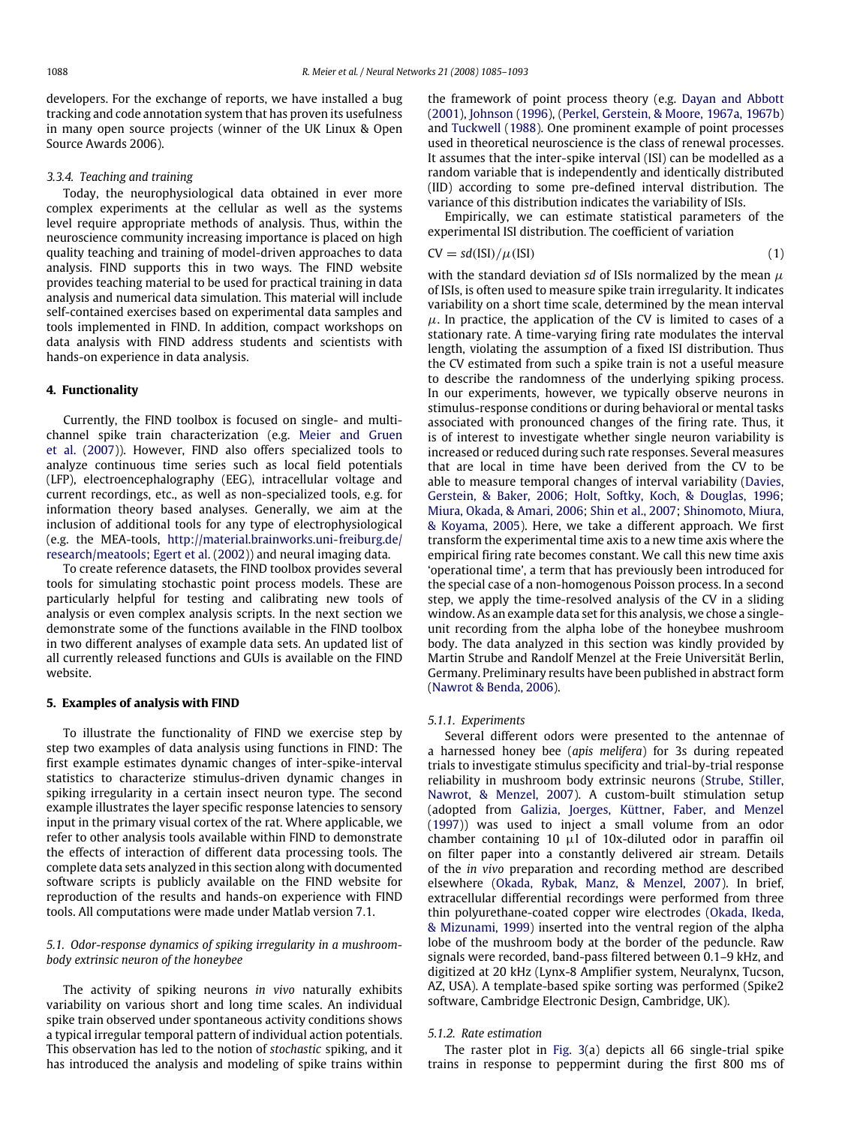developers. For the exchange of reports, we have installed a bug tracking and code annotation system that has proven its usefulness in many open source projects (winner of the UK Linux & Open Source Awards 2006).

#### *3.3.4. Teaching and training*

Today, the neurophysiological data obtained in ever more complex experiments at the cellular as well as the systems level require appropriate methods of analysis. Thus, within the neuroscience community increasing importance is placed on high quality teaching and training of model-driven approaches to data analysis. FIND supports this in two ways. The FIND website provides teaching material to be used for practical training in data analysis and numerical data simulation. This material will include self-contained exercises based on experimental data samples and tools implemented in FIND. In addition, compact workshops on data analysis with FIND address students and scientists with hands-on experience in data analysis.

## **4. Functionality**

Currently, the FIND toolbox is focused on single- and multichannel spike train characterization (e.g. Meier and Gruen et al. (2007)). However, FIND also offers specialized tools to analyze continuous time series such as local field potentials (LFP), electroencephalography (EEG), intracellular voltage and current recordings, etc., as well as non-specialized tools, e.g. for information theory based analyses. Generally, we aim at the inclusion of additional tools for any type of electrophysiological (e.g. the MEA-tools, [http://material.brainworks.uni-freiburg.de/](http://material.brainworks.uni-freiburg.de/research/meatools) [research/meatools;](http://material.brainworks.uni-freiburg.de/research/meatools) Egert et al. (2002)) and neural imaging data.

To create reference datasets, the FIND toolbox provides several tools for simulating stochastic point process models. These are particularly helpful for testing and calibrating new tools of analysis or even complex analysis scripts. In the next section we demonstrate some of the functions available in the FIND toolbox in two different analyses of example data sets. An updated list of all currently released functions and GUIs is available on the FIND website.

#### **5. Examples of analysis with FIND**

To illustrate the functionality of FIND we exercise step by step two examples of data analysis using functions in FIND: The first example estimates dynamic changes of inter-spike-interval statistics to characterize stimulus-driven dynamic changes in spiking irregularity in a certain insect neuron type. The second example illustrates the layer specific response latencies to sensory input in the primary visual cortex of the rat. Where applicable, we refer to other analysis tools available within FIND to demonstrate the effects of interaction of different data processing tools. The complete data sets analyzed in this section along with documented software scripts is publicly available on the FIND website for reproduction of the results and hands-on experience with FIND tools. All computations were made under Matlab version 7.1.

## *5.1. Odor-response dynamics of spiking irregularity in a mushroombody extrinsic neuron of the honeybee*

The activity of spiking neurons *in vivo* naturally exhibits variability on various short and long time scales. An individual spike train observed under spontaneous activity conditions shows a typical irregular temporal pattern of individual action potentials. This observation has led to the notion of *stochastic* spiking, and it has introduced the analysis and modeling of spike trains within the framework of point process theory (e.g. Dayan and Abbott (2001), Johnson (1996), (Perkel, Gerstein, & Moore, 1967a, 1967b) and Tuckwell (1988). One prominent example of point processes used in theoretical neuroscience is the class of renewal processes. It assumes that the inter-spike interval (ISI) can be modelled as a random variable that is independently and identically distributed (IID) according to some pre-defined interval distribution. The variance of this distribution indicates the variability of ISIs.

Empirically, we can estimate statistical parameters of the experimental ISI distribution. The coefficient of variation

$$
CV = sd(ISI)/\mu(ISI)
$$
 (1)

with the standard deviation *sd* of ISIs normalized by the mean  $\mu$ of ISIs, is often used to measure spike train irregularity. It indicates variability on a short time scale, determined by the mean interval  $\mu$ . In practice, the application of the CV is limited to cases of a stationary rate. A time-varying firing rate modulates the interval length, violating the assumption of a fixed ISI distribution. Thus the CV estimated from such a spike train is not a useful measure to describe the randomness of the underlying spiking process. In our experiments, however, we typically observe neurons in stimulus-response conditions or during behavioral or mental tasks associated with pronounced changes of the firing rate. Thus, it is of interest to investigate whether single neuron variability is increased or reduced during such rate responses. Several measures that are local in time have been derived from the CV to be able to measure temporal changes of interval variability (Davies, Gerstein, & Baker, 2006; Holt, Softky, Koch, & Douglas, 1996; Miura, Okada, & Amari, 2006; Shin et al., 2007; Shinomoto, Miura, & Koyama, 2005). Here, we take a different approach. We first transform the experimental time axis to a new time axis where the empirical firing rate becomes constant. We call this new time axis 'operational time', a term that has previously been introduced for the special case of a non-homogenous Poisson process. In a second step, we apply the time-resolved analysis of the CV in a sliding window. As an example data set for this analysis, we chose a singleunit recording from the alpha lobe of the honeybee mushroom body. The data analyzed in this section was kindly provided by Martin Strube and Randolf Menzel at the Freie Universität Berlin, Germany. Preliminary results have been published in abstract form (Nawrot & Benda, 2006).

#### *5.1.1. Experiments*

Several different odors were presented to the antennae of a harnessed honey bee (*apis melifera*) for 3s during repeated trials to investigate stimulus specificity and trial-by-trial response reliability in mushroom body extrinsic neurons (Strube, Stiller, Nawrot, & Menzel, 2007). A custom-built stimulation setup (adopted from Galizia, Joerges, Küttner, Faber, and Menzel (1997)) was used to inject a small volume from an odor chamber containing 10  $\mu$ l of 10x-diluted odor in paraffin oil on filter paper into a constantly delivered air stream. Details of the *in vivo* preparation and recording method are described elsewhere (Okada, Rybak, Manz, & Menzel, 2007). In brief, extracellular differential recordings were performed from three thin polyurethane-coated copper wire electrodes (Okada, Ikeda, & Mizunami, 1999) inserted into the ventral region of the alpha lobe of the mushroom body at the border of the peduncle. Raw signals were recorded, band-pass filtered between 0.1–9 kHz, and digitized at 20 kHz (Lynx-8 Amplifier system, Neuralynx, Tucson, AZ, USA). A template-based spike sorting was performed (Spike2 software, Cambridge Electronic Design, Cambridge, UK).

## *5.1.2. Rate estimation*

The raster plot in Fig. 3(a) depicts all 66 single-trial spike trains in response to peppermint during the first 800 ms of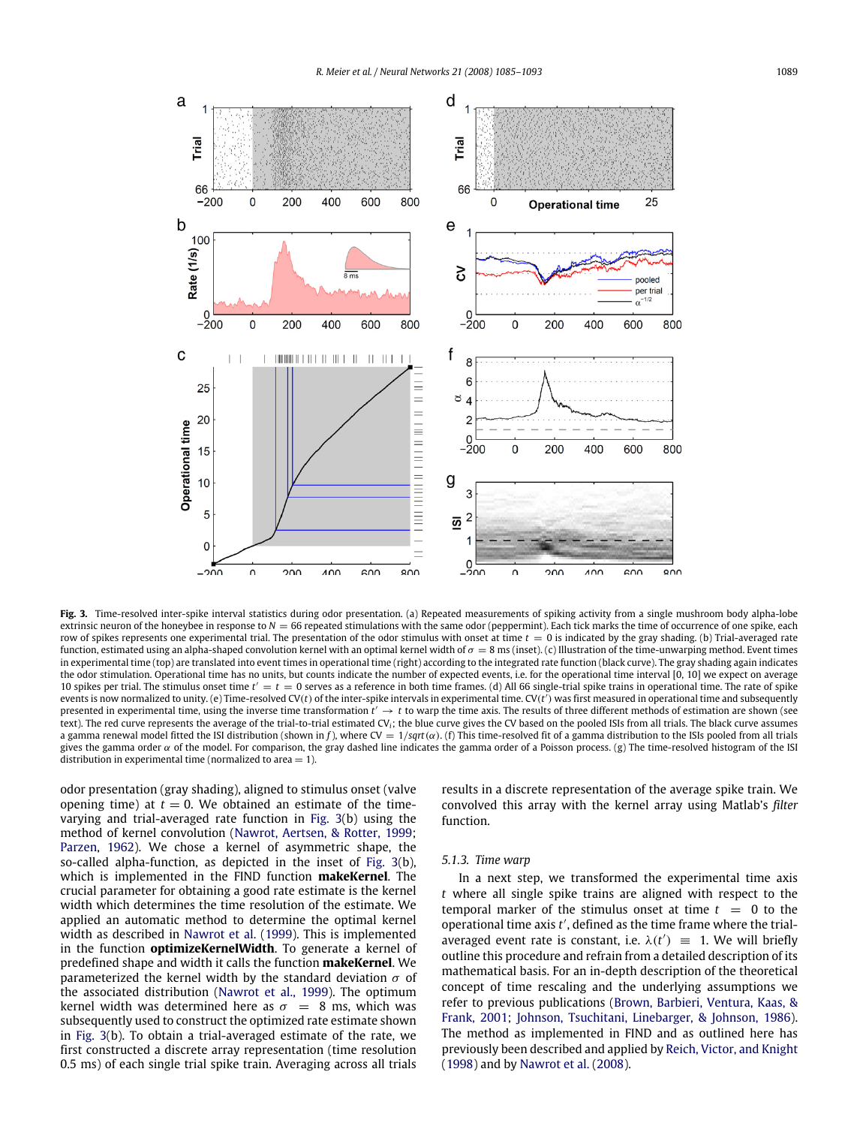Fig. 3. Time-resolved inter-spike interval statistics during odor presentation. (a) Repeated measurements of spiking activity from a single mushroom body alpha-lobe extrinsic neuron of the honeybee in response to  $N = 66$  repeated stimulations with the same odor (peppermint). Each tick marks the time of occurrence of one spike, each row of spikes represents one experimental trial. The presentation of the odor stimulus with onset at time  $t = 0$  is indicated by the gray shading. (b) Trial-averaged rate function, estimated using an alpha-shaped convolution kernel with an optimal kernel width of  $\sigma = 8$  ms (inset). (c) Illustration of the time-unwarping method. Event times in experimental time (top) are translated into event times in operational time (right) according to the integrated rate function (black curve). The gray shading again indicates the odor stimulation. Operational time has no units, but counts indicate the number of expected events, i.e. for the operational time interval [0, 10] we expect on average 10 spikes per trial. The stimulus onset time  $t' = t = 0$  serves as a reference in both time frames. (d) All 66 single-trial spike trains in operational time. The rate of spike events is now normalized to unity. (e) Time-resolved CV(t) of the inter-spike intervals in experimental time. CV(t<sup>r</sup>) was first measured in operational time and subsequently presented in experimental time, using the inverse time transformation  $t' \rightarrow t$  to warp the time axis. The results of three different methods of estimation are shown (see text). The red curve represents the average of the trial-to-trial estimated CV*i*; the blue curve gives the CV based on the pooled ISIs from all trials. The black curve assumes a gamma renewal model fitted the ISI distribution (shown in *f*), where CV =  $1/sqrt(\alpha)$ . (f) This time-resolved fit of a gamma distribution to the ISIs pooled from all trials gives the gamma order  $\alpha$  of the model. For comparison, the gray dashed line indicates the gamma order of a Poisson process. (g) The time-resolved histogram of the ISI distribution in experimental time (normalized to area  $= 1$ ).

odor presentation (gray shading), aligned to stimulus onset (valve opening time) at  $t = 0$ . We obtained an estimate of the timevarying and trial-averaged rate function in Fig. 3(b) using the method of kernel convolution (Nawrot, Aertsen, & Rotter, 1999; Parzen, 1962). We chose a kernel of asymmetric shape, the so-called alpha-function, as depicted in the inset of Fig. 3(b), which is implemented in the FIND function **makeKernel**. The crucial parameter for obtaining a good rate estimate is the kernel width which determines the time resolution of the estimate. We applied an automatic method to determine the optimal kernel width as described in Nawrot et al. (1999). This is implemented in the function **optimizeKernelWidth**. To generate a kernel of predefined shape and width it calls the function **makeKernel**. We parameterized the kernel width by the standard deviation  $\sigma$  of the associated distribution (Nawrot et al., 1999). The optimum kernel width was determined here as  $\sigma = 8$  ms, which was subsequently used to construct the optimized rate estimate shown in Fig. 3(b). To obtain a trial-averaged estimate of the rate, we first constructed a discrete array representation (time resolution 0.5 ms) of each single trial spike train. Averaging across all trials results in a discrete representation of the average spike train. We convolved this array with the kernel array using Matlab's *filter* function.

## *5.1.3. Time warp*

In a next step, we transformed the experimental time axis *t* where all single spike trains are aligned with respect to the temporal marker of the stimulus onset at time  $t = 0$  to the operational time axis *t* 0 , defined as the time frame where the trialaveraged event rate is constant, i.e.  $\lambda(t') = 1$ . We will briefly outline this procedure and refrain from a detailed description of its mathematical basis. For an in-depth description of the theoretical concept of time rescaling and the underlying assumptions we refer to previous publications (Brown, Barbieri, Ventura, Kaas, & Frank, 2001; Johnson, Tsuchitani, Linebarger, & Johnson, 1986). The method as implemented in FIND and as outlined here has previously been described and applied by Reich, Victor, and Knight (1998) and by Nawrot et al. (2008).